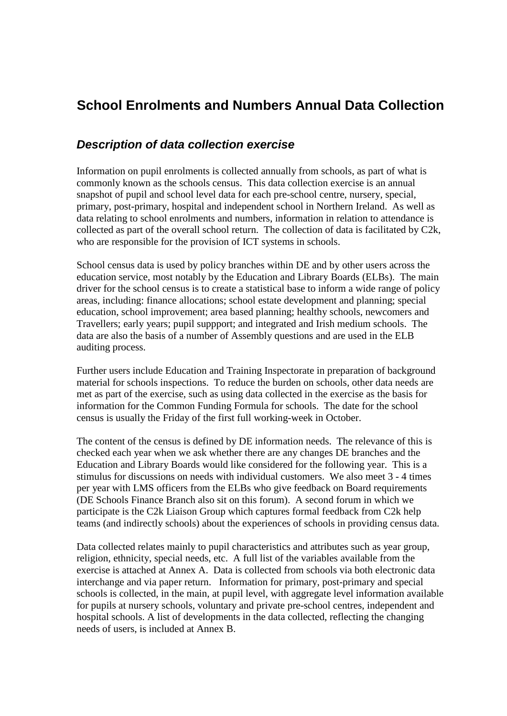# **School Enrolments and Numbers Annual Data Collection**

## *Description of data collection exercise*

Information on pupil enrolments is collected annually from schools, as part of what is commonly known as the schools census. This data collection exercise is an annual snapshot of pupil and school level data for each pre-school centre, nursery, special, primary, post-primary, hospital and independent school in Northern Ireland. As well as data relating to school enrolments and numbers, information in relation to attendance is collected as part of the overall school return. The collection of data is facilitated by C2k, who are responsible for the provision of ICT systems in schools.

School census data is used by policy branches within DE and by other users across the education service, most notably by the Education and Library Boards (ELBs). The main driver for the school census is to create a statistical base to inform a wide range of policy areas, including: finance allocations; school estate development and planning; special education, school improvement; area based planning; healthy schools, newcomers and Travellers; early years; pupil suppport; and integrated and Irish medium schools. The data are also the basis of a number of Assembly questions and are used in the ELB auditing process.

Further users include Education and Training Inspectorate in preparation of background material for schools inspections. To reduce the burden on schools, other data needs are met as part of the exercise, such as using data collected in the exercise as the basis for information for the Common Funding Formula for schools. The date for the school census is usually the Friday of the first full working-week in October.

The content of the census is defined by DE information needs. The relevance of this is checked each year when we ask whether there are any changes DE branches and the Education and Library Boards would like considered for the following year. This is a stimulus for discussions on needs with individual customers. We also meet 3 - 4 times per year with LMS officers from the ELBs who give feedback on Board requirements (DE Schools Finance Branch also sit on this forum). A second forum in which we participate is the C2k Liaison Group which captures formal feedback from C2k help teams (and indirectly schools) about the experiences of schools in providing census data.

Data collected relates mainly to pupil characteristics and attributes such as year group, religion, ethnicity, special needs, etc. A full list of the variables available from the exercise is attached at Annex A. Data is collected from schools via both electronic data interchange and via paper return. Information for primary, post-primary and special schools is collected, in the main, at pupil level, with aggregate level information available for pupils at nursery schools, voluntary and private pre-school centres, independent and hospital schools. A list of developments in the data collected, reflecting the changing needs of users, is included at Annex B.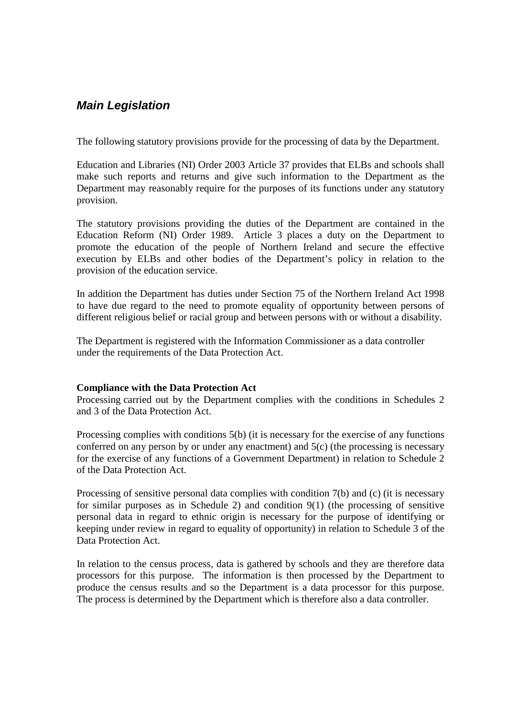## *Main Legislation*

The following statutory provisions provide for the processing of data by the Department.

Education and Libraries (NI) Order 2003 Article 37 provides that ELBs and schools shall make such reports and returns and give such information to the Department as the Department may reasonably require for the purposes of its functions under any statutory provision.

The statutory provisions providing the duties of the Department are contained in the Education Reform (NI) Order 1989. Article 3 places a duty on the Department to promote the education of the people of Northern Ireland and secure the effective execution by ELBs and other bodies of the Department's policy in relation to the provision of the education service.

In addition the Department has duties under Section 75 of the Northern Ireland Act 1998 to have due regard to the need to promote equality of opportunity between persons of different religious belief or racial group and between persons with or without a disability.

The Department is registered with the Information Commissioner as a data controller under the requirements of the Data Protection Act.

#### **Compliance with the Data Protection Act**

Processing carried out by the Department complies with the conditions in Schedules 2 and 3 of the Data Protection Act.

Processing complies with conditions 5(b) (it is necessary for the exercise of any functions conferred on any person by or under any enactment) and 5(c) (the processing is necessary for the exercise of any functions of a Government Department) in relation to Schedule 2 of the Data Protection Act.

Processing of sensitive personal data complies with condition 7(b) and (c) (it is necessary for similar purposes as in Schedule 2) and condition 9(1) (the processing of sensitive personal data in regard to ethnic origin is necessary for the purpose of identifying or keeping under review in regard to equality of opportunity) in relation to Schedule 3 of the Data Protection Act.

In relation to the census process, data is gathered by schools and they are therefore data processors for this purpose. The information is then processed by the Department to produce the census results and so the Department is a data processor for this purpose. The process is determined by the Department which is therefore also a data controller.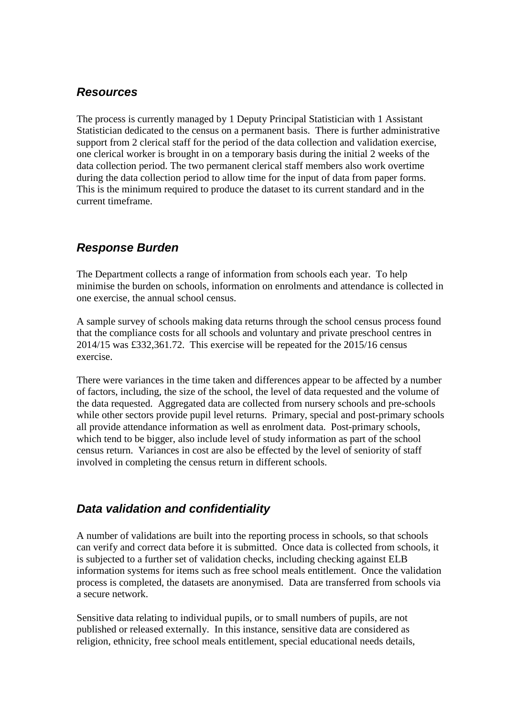## *Resources*

The process is currently managed by 1 Deputy Principal Statistician with 1 Assistant Statistician dedicated to the census on a permanent basis. There is further administrative support from 2 clerical staff for the period of the data collection and validation exercise, one clerical worker is brought in on a temporary basis during the initial 2 weeks of the data collection period. The two permanent clerical staff members also work overtime during the data collection period to allow time for the input of data from paper forms. This is the minimum required to produce the dataset to its current standard and in the current timeframe.

## *Response Burden*

The Department collects a range of information from schools each year. To help minimise the burden on schools, information on enrolments and attendance is collected in one exercise, the annual school census.

A sample survey of schools making data returns through the school census process found that the compliance costs for all schools and voluntary and private preschool centres in 2014/15 was £332,361.72. This exercise will be repeated for the 2015/16 census exercise.

There were variances in the time taken and differences appear to be affected by a number of factors, including, the size of the school, the level of data requested and the volume of the data requested. Aggregated data are collected from nursery schools and pre-schools while other sectors provide pupil level returns. Primary, special and post-primary schools all provide attendance information as well as enrolment data. Post-primary schools, which tend to be bigger, also include level of study information as part of the school census return. Variances in cost are also be effected by the level of seniority of staff involved in completing the census return in different schools.

## *Data validation and confidentiality*

A number of validations are built into the reporting process in schools, so that schools can verify and correct data before it is submitted. Once data is collected from schools, it is subjected to a further set of validation checks, including checking against ELB information systems for items such as free school meals entitlement. Once the validation process is completed, the datasets are anonymised. Data are transferred from schools via a secure network.

Sensitive data relating to individual pupils, or to small numbers of pupils, are not published or released externally. In this instance, sensitive data are considered as religion, ethnicity, free school meals entitlement, special educational needs details,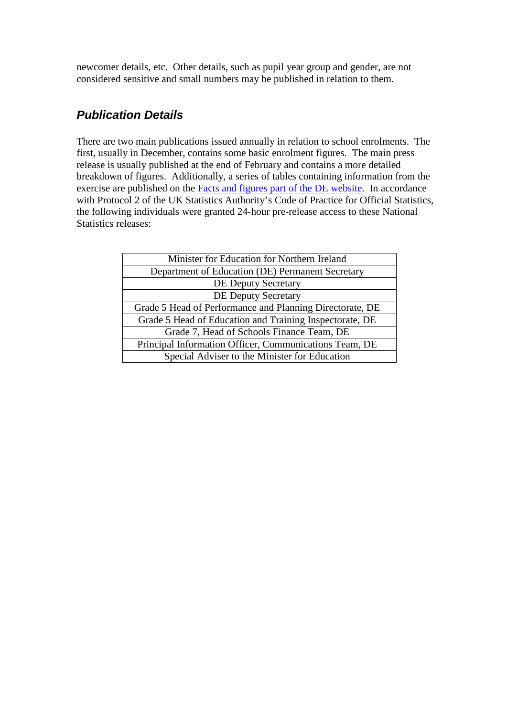newcomer details, etc. Other details, such as pupil year group and gender, are not considered sensitive and small numbers may be published in relation to them.

## *Publication Details*

There are two main publications issued annually in relation to school enrolments. The first, usually in December, contains some basic enrolment figures. The main press release is usually published at the end of February and contains a more detailed breakdown of figures. Additionally, a series of tables containing information from the exercise are published on the Facts and figures [part of the DE website.](http://www.deni.gov.uk/index/facts-and-figures-new/education-statistics/32_statistics_and_research-numbersofschoolsandpupils_pg.htm) In accordance with Protocol 2 of the UK Statistics Authority's Code of Practice for Official Statistics, the following individuals were granted 24-hour pre-release access to these National Statistics releases:

| Minister for Education for Northern Ireland              |
|----------------------------------------------------------|
| Department of Education (DE) Permanent Secretary         |
| <b>DE Deputy Secretary</b>                               |
| <b>DE Deputy Secretary</b>                               |
| Grade 5 Head of Performance and Planning Directorate, DE |
| Grade 5 Head of Education and Training Inspectorate, DE  |
| Grade 7, Head of Schools Finance Team, DE                |
| Principal Information Officer, Communications Team, DE   |
| Special Adviser to the Minister for Education            |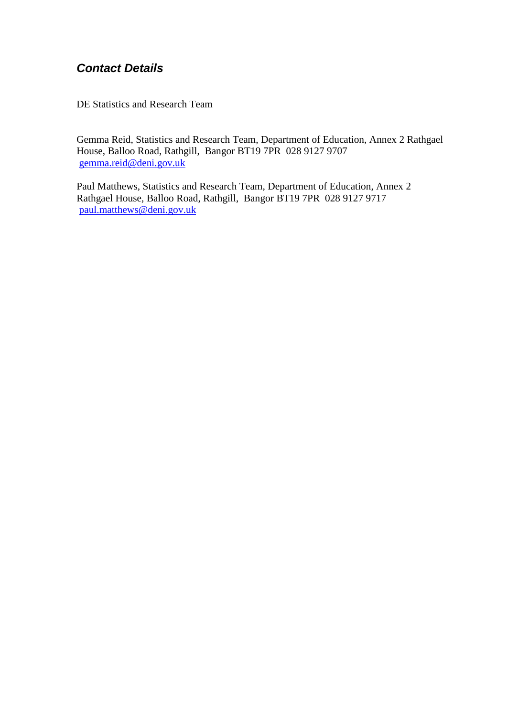## *Contact Details*

DE Statistics and Research Team

Gemma Reid, Statistics and Research Team, Department of Education, Annex 2 Rathgael House, Balloo Road, Rathgill, Bangor BT19 7PR 028 9127 9707 [gemma.reid@deni.gov.uk](mailto:gemma.reid@deni.gov.uk)

Paul Matthews, Statistics and Research Team, Department of Education, Annex 2 Rathgael House, Balloo Road, Rathgill, Bangor BT19 7PR 028 9127 9717 [paul.matthews@deni.gov.uk](mailto:paul.matthews@deni.gov.uk)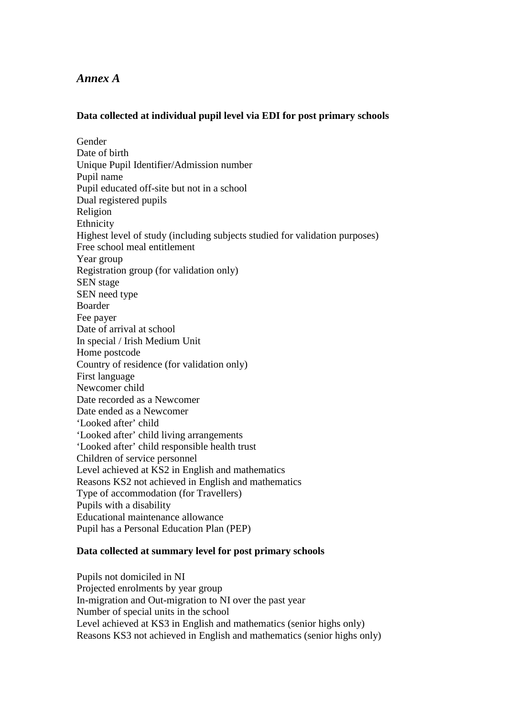### *Annex A*

#### **Data collected at individual pupil level via EDI for post primary schools**

Gender Date of birth Unique Pupil Identifier/Admission number Pupil name Pupil educated off-site but not in a school Dual registered pupils Religion Ethnicity Highest level of study (including subjects studied for validation purposes) Free school meal entitlement Year group Registration group (for validation only) SEN stage SEN need type Boarder Fee payer Date of arrival at school In special / Irish Medium Unit Home postcode Country of residence (for validation only) First language Newcomer child Date recorded as a Newcomer Date ended as a Newcomer 'Looked after' child 'Looked after' child living arrangements 'Looked after' child responsible health trust Children of service personnel Level achieved at KS2 in English and mathematics Reasons KS2 not achieved in English and mathematics Type of accommodation (for Travellers) Pupils with a disability Educational maintenance allowance Pupil has a Personal Education Plan (PEP)

#### **Data collected at summary level for post primary schools**

Pupils not domiciled in NI Projected enrolments by year group In-migration and Out-migration to NI over the past year Number of special units in the school Level achieved at KS3 in English and mathematics (senior highs only) Reasons KS3 not achieved in English and mathematics (senior highs only)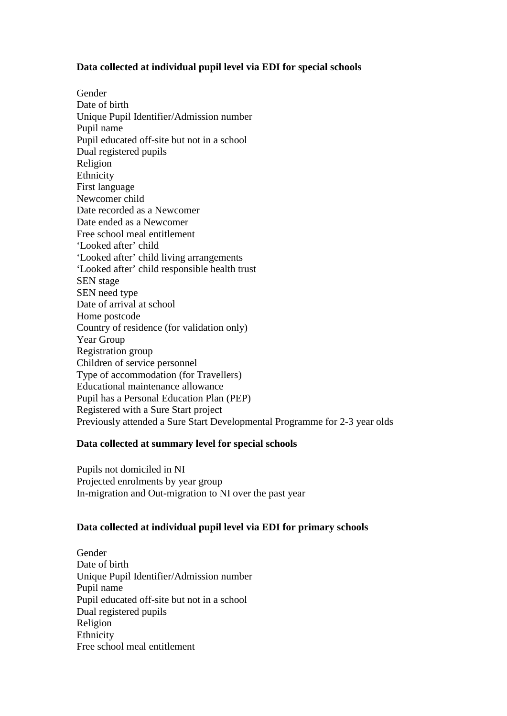#### **Data collected at individual pupil level via EDI for special schools**

Gender Date of birth Unique Pupil Identifier/Admission number Pupil name Pupil educated off-site but not in a school Dual registered pupils Religion Ethnicity First language Newcomer child Date recorded as a Newcomer Date ended as a Newcomer Free school meal entitlement 'Looked after' child 'Looked after' child living arrangements 'Looked after' child responsible health trust SEN stage SEN need type Date of arrival at school Home postcode Country of residence (for validation only) Year Group Registration group Children of service personnel Type of accommodation (for Travellers) Educational maintenance allowance Pupil has a Personal Education Plan (PEP) Registered with a Sure Start project Previously attended a Sure Start Developmental Programme for 2-3 year olds

#### **Data collected at summary level for special schools**

Pupils not domiciled in NI Projected enrolments by year group In-migration and Out-migration to NI over the past year

#### **Data collected at individual pupil level via EDI for primary schools**

Gender Date of birth Unique Pupil Identifier/Admission number Pupil name Pupil educated off-site but not in a school Dual registered pupils Religion Ethnicity Free school meal entitlement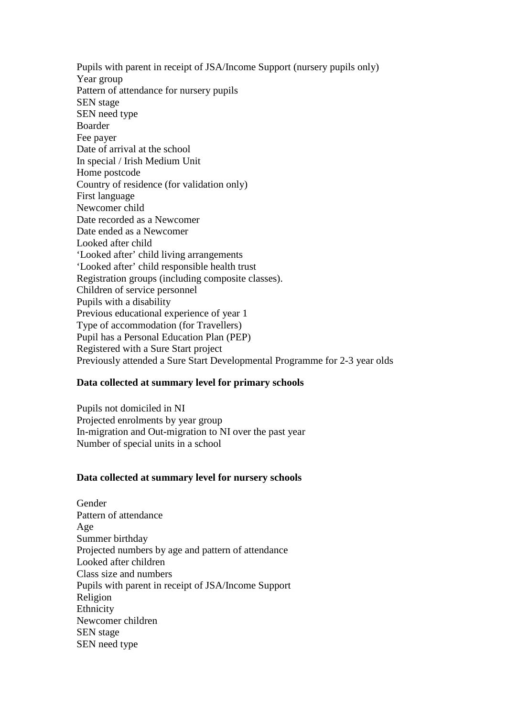Pupils with parent in receipt of JSA/Income Support (nursery pupils only) Year group Pattern of attendance for nursery pupils SEN stage SEN need type Boarder Fee payer Date of arrival at the school In special / Irish Medium Unit Home postcode Country of residence (for validation only) First language Newcomer child Date recorded as a Newcomer Date ended as a Newcomer Looked after child 'Looked after' child living arrangements 'Looked after' child responsible health trust Registration groups (including composite classes). Children of service personnel Pupils with a disability Previous educational experience of year 1 Type of accommodation (for Travellers) Pupil has a Personal Education Plan (PEP) Registered with a Sure Start project Previously attended a Sure Start Developmental Programme for 2-3 year olds

#### **Data collected at summary level for primary schools**

Pupils not domiciled in NI Projected enrolments by year group In-migration and Out-migration to NI over the past year Number of special units in a school

#### **Data collected at summary level for nursery schools**

**Gender** Pattern of attendance Age Summer birthday Projected numbers by age and pattern of attendance Looked after children Class size and numbers Pupils with parent in receipt of JSA/Income Support Religion Ethnicity Newcomer children SEN stage SEN need type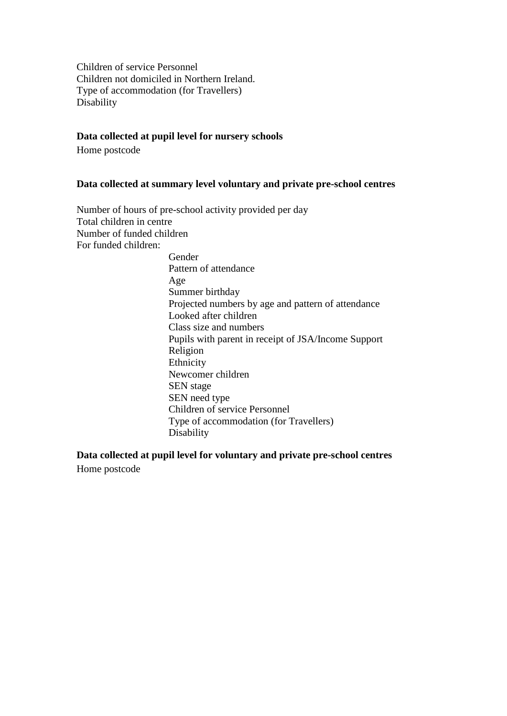Children of service Personnel Children not domiciled in Northern Ireland. Type of accommodation (for Travellers) Disability

#### **Data collected at pupil level for nursery schools**

Home postcode

#### **Data collected at summary level voluntary and private pre-school centres**

Number of hours of pre-school activity provided per day Total children in centre Number of funded children For funded children: Gender Pattern of attendance Age Summer birthday Projected numbers by age and pattern of attendance Looked after children Class size and numbers Pupils with parent in receipt of JSA/Income Support Religion Ethnicity Newcomer children SEN stage SEN need type Children of service Personnel Type of accommodation (for Travellers) Disability

**Data collected at pupil level for voluntary and private pre-school centres** Home postcode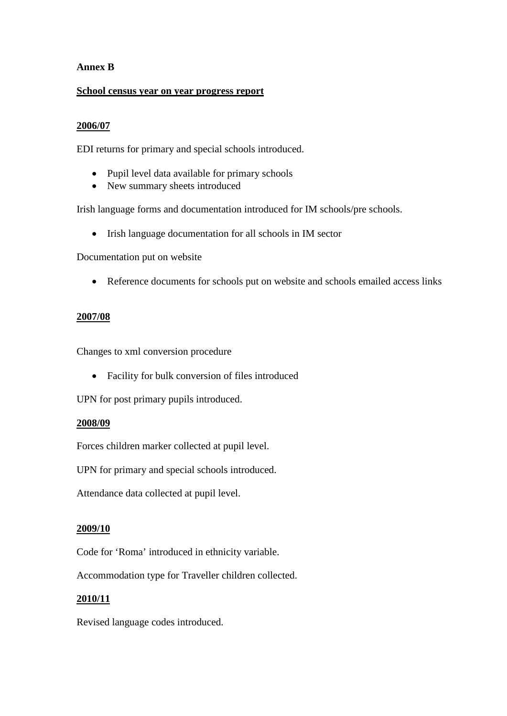#### **Annex B**

#### **School census year on year progress report**

#### **2006/07**

EDI returns for primary and special schools introduced.

- Pupil level data available for primary schools
- New summary sheets introduced

Irish language forms and documentation introduced for IM schools/pre schools.

• Irish language documentation for all schools in IM sector

Documentation put on website

• Reference documents for schools put on website and schools emailed access links

#### **2007/08**

Changes to xml conversion procedure

• Facility for bulk conversion of files introduced

UPN for post primary pupils introduced.

#### **2008/09**

Forces children marker collected at pupil level.

UPN for primary and special schools introduced.

Attendance data collected at pupil level.

#### **2009/10**

Code for 'Roma' introduced in ethnicity variable.

Accommodation type for Traveller children collected.

#### **2010/11**

Revised language codes introduced.